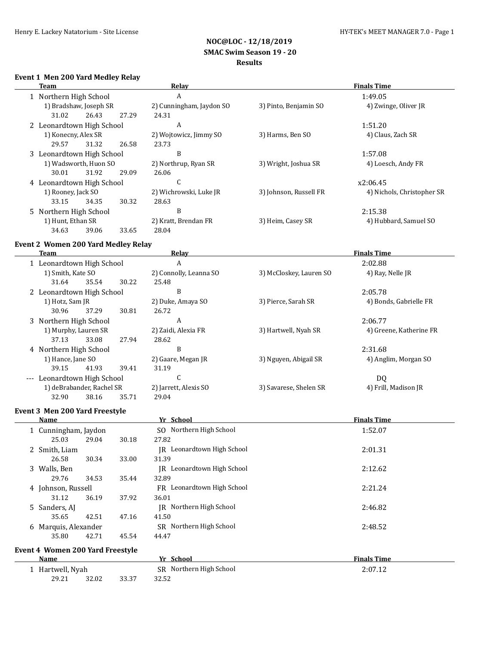## **Event 1 Men 200 Yard Medley Relay**

| Team                      |       |       | Relay                    | <b>Finals Time</b>     |                            |  |
|---------------------------|-------|-------|--------------------------|------------------------|----------------------------|--|
| 1 Northern High School    |       |       | A                        |                        | 1:49.05                    |  |
| 1) Bradshaw, Joseph SR    |       |       | 2) Cunningham, Jaydon SO | 3) Pinto, Benjamin SO  | 4) Zwinge, Oliver JR       |  |
| 31.02                     | 26.43 | 27.29 | 24.31                    |                        |                            |  |
| 2 Leonardtown High School |       |       | A                        |                        | 1:51.20                    |  |
| 1) Konecny, Alex SR       |       |       | 2) Wojtowicz, Jimmy SO   | 3) Harms, Ben SO       | 4) Claus, Zach SR          |  |
| 29.57                     | 31.32 | 26.58 | 23.73                    |                        |                            |  |
| 3 Leonardtown High School |       |       | B                        |                        | 1:57.08                    |  |
| 1) Wadsworth, Huon SO     |       |       | 2) Northrup, Ryan SR     | 3) Wright, Joshua SR   | 4) Loesch, Andy FR         |  |
| 30.01                     | 31.92 | 29.09 | 26.06                    |                        |                            |  |
| 4 Leonardtown High School |       |       | C                        |                        | x2:06.45                   |  |
| 1) Rooney, Jack SO        |       |       | 2) Wichrowski, Luke JR   | 3) Johnson, Russell FR | 4) Nichols, Christopher SR |  |
| 33.15                     | 34.35 | 30.32 | 28.63                    |                        |                            |  |
| 5 Northern High School    |       |       | B                        |                        | 2:15.38                    |  |
| 1) Hunt, Ethan SR         |       |       | 2) Kratt, Brendan FR     | 3) Heim, Casey SR      | 4) Hubbard, Samuel SO      |  |
| 34.63                     | 39.06 | 33.65 | 28.04                    |                        |                            |  |

## **Event 2 Women 200 Yard Medley Relay**

| Team                               |       | Relay                  | <b>Finals Time</b>      |                         |  |
|------------------------------------|-------|------------------------|-------------------------|-------------------------|--|
| 1 Leonardtown High School          |       | A                      |                         | 2:02.88                 |  |
| 1) Smith, Kate SO                  |       | 2) Connolly, Leanna SO | 3) McCloskey, Lauren SO | 4) Ray, Nelle JR        |  |
| 35.54<br>31.64                     | 30.22 | 25.48                  |                         |                         |  |
| 2 Leonardtown High School          |       | B                      |                         | 2:05.78                 |  |
| 1) Hotz, Sam JR                    |       | 2) Duke, Amaya SO      | 3) Pierce, Sarah SR     | 4) Bonds, Gabrielle FR  |  |
| 30.96<br>37.29                     | 30.81 | 26.72                  |                         |                         |  |
| 3 Northern High School             |       | A                      |                         | 2:06.77                 |  |
| 1) Murphy, Lauren SR               |       | 2) Zaidi, Alexia FR    | 3) Hartwell, Nyah SR    | 4) Greene, Katherine FR |  |
| 37.13<br>33.08                     | 27.94 | 28.62                  |                         |                         |  |
| 4 Northern High School             |       | B                      |                         | 2:31.68                 |  |
| 1) Hance, Jane SO                  |       | 2) Gaare, Megan JR     | 3) Nguyen, Abigail SR   | 4) Anglim, Morgan SO    |  |
| 41.93<br>39.15                     | 39.41 | 31.19                  |                         |                         |  |
| Leonardtown High School<br>$- - -$ |       | U                      |                         | DQ                      |  |
| 1) deBrabander, Rachel SR          |       | 2) Jarrett, Alexis SO  | 3) Savarese, Shelen SR  | 4) Frill, Madison JR    |  |
| 32.90<br>38.16                     | 35.71 | 29.04                  |                         |                         |  |

#### **Event 3 Men 200 Yard Freestyle**

| Name                             |       |       | Yr School                     | <b>Finals Time</b> |
|----------------------------------|-------|-------|-------------------------------|--------------------|
| 1 Cunningham, Jaydon             |       |       | SO Northern High School       | 1:52.07            |
| 25.03                            | 29.04 | 30.18 | 27.82                         |                    |
| 2 Smith, Liam                    |       |       | Leonardtown High School<br>IR | 2:01.31            |
| 26.58                            | 30.34 | 33.00 | 31.39                         |                    |
| 3 Walls, Ben                     |       |       | Leonardtown High School<br>IR | 2:12.62            |
| 29.76                            | 34.53 | 35.44 | 32.89                         |                    |
| 4 Johnson, Russell               |       |       | FR Leonardtown High School    | 2:21.24            |
| 31.12                            | 36.19 | 37.92 | 36.01                         |                    |
| 5 Sanders, AI                    |       |       | IR Northern High School       | 2:46.82            |
| 35.65                            | 42.51 | 47.16 | 41.50                         |                    |
| 6 Marquis, Alexander             |       |       | SR Northern High School       | 2:48.52            |
| 35.80                            | 42.71 | 45.54 | 44.47                         |                    |
| Event 4 Women 200 Yard Freestyle |       |       |                               |                    |
|                                  |       |       |                               | _ _ _ _            |

| Name           |       |       | School<br>$\mathbf{v}$ . | <b>Finals Time</b> |
|----------------|-------|-------|--------------------------|--------------------|
| Hartwell, Nyah |       |       | SR Northern High School  | 2:07.12            |
| 29.21          | 32.02 | 33.37 | 32.52                    |                    |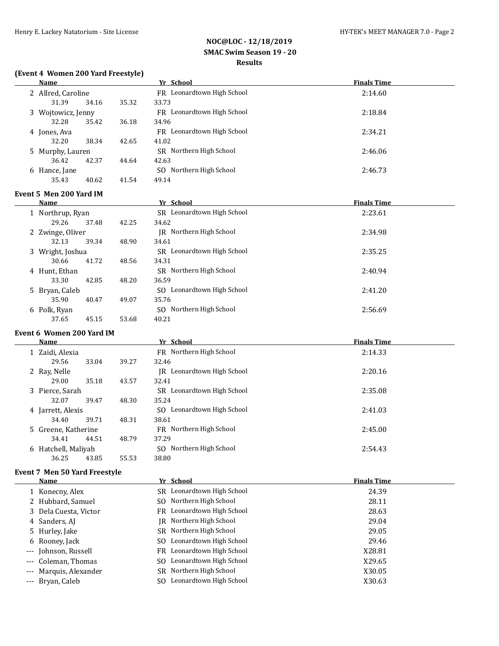## **(Event 4 Women 200 Yard Freestyle)**

|   | <b>Name</b>                           |       | Yr School                                             | <b>Finals Time</b> |  |
|---|---------------------------------------|-------|-------------------------------------------------------|--------------------|--|
|   | 2 Allred, Caroline                    |       | FR Leonardtown High School                            | 2:14.60            |  |
|   | 31.39<br>34.16                        | 35.32 | 33.73                                                 |                    |  |
|   | 3 Wojtowicz, Jenny                    |       | FR Leonardtown High School                            | 2:18.84            |  |
|   | 32.28<br>35.42                        | 36.18 | 34.96                                                 |                    |  |
|   | 4 Jones, Ava                          |       | FR Leonardtown High School                            | 2:34.21            |  |
|   | 32.20<br>38.34                        | 42.65 | 41.02                                                 |                    |  |
|   | 5 Murphy, Lauren                      |       | SR Northern High School                               | 2:46.06            |  |
|   | 36.42<br>42.37                        | 44.64 | 42.63                                                 |                    |  |
|   | 6 Hance, Jane                         |       | SO Northern High School                               | 2:46.73            |  |
|   | 35.43<br>40.62                        | 41.54 | 49.14                                                 |                    |  |
|   | Event 5 Men 200 Yard IM               |       |                                                       |                    |  |
|   | <b>Name</b>                           |       | Yr School                                             | <b>Finals Time</b> |  |
|   | 1 Northrup, Ryan                      |       | SR Leonardtown High School                            | 2:23.61            |  |
|   | 29.26<br>37.48                        | 42.25 | 34.62                                                 |                    |  |
|   | 2 Zwinge, Oliver                      |       | JR Northern High School                               | 2:34.98            |  |
|   | 32.13<br>39.34                        | 48.90 | 34.61                                                 |                    |  |
|   | 3 Wright, Joshua                      |       | SR Leonardtown High School                            | 2:35.25            |  |
|   | 30.66<br>41.72                        | 48.56 | 34.31                                                 |                    |  |
|   | 4 Hunt, Ethan                         |       | SR Northern High School                               | 2:40.94            |  |
|   | 33.30<br>42.85                        | 48.20 | 36.59                                                 |                    |  |
|   | 5 Bryan, Caleb                        |       | SO Leonardtown High School                            | 2:41.20            |  |
|   | 35.90<br>40.47                        | 49.07 | 35.76                                                 |                    |  |
|   | 6 Polk, Ryan                          |       | SO Northern High School                               | 2:56.69            |  |
|   | 37.65<br>45.15                        | 53.68 | 40.21                                                 |                    |  |
|   | Event 6 Women 200 Yard IM             |       |                                                       |                    |  |
|   | <u>Name</u>                           |       | Yr School                                             | <b>Finals Time</b> |  |
|   | 1 Zaidi, Alexia                       |       | FR Northern High School                               | 2:14.33            |  |
|   |                                       |       |                                                       |                    |  |
|   |                                       |       |                                                       |                    |  |
|   | 29.56<br>33.04                        | 39.27 | 32.46                                                 |                    |  |
|   | 2 Ray, Nelle<br>29.00                 |       | JR Leonardtown High School                            | 2:20.16            |  |
|   | 35.18                                 | 43.57 | 32.41<br>SR Leonardtown High School                   |                    |  |
|   | 3 Pierce, Sarah<br>32.07<br>39.47     |       |                                                       | 2:35.08            |  |
|   |                                       | 48.30 | 35.24<br>SO Leonardtown High School                   |                    |  |
|   | 4 Jarrett, Alexis<br>34.40<br>39.71   | 48.31 | 38.61                                                 | 2:41.03            |  |
|   |                                       |       | FR Northern High School                               | 2:45.00            |  |
|   | 5 Greene, Katherine<br>34.41<br>44.51 | 48.79 | 37.29                                                 |                    |  |
|   | 6 Hatchell, Maliyah                   |       | SO Northern High School                               | 2:54.43            |  |
|   | 36.25<br>43.85                        | 55.53 | 38.80                                                 |                    |  |
|   |                                       |       |                                                       |                    |  |
|   | <b>Event 7 Men 50 Yard Freestyle</b>  |       |                                                       |                    |  |
|   | <b>Name</b>                           |       | Yr School                                             | <b>Finals Time</b> |  |
|   | 1 Konecny, Alex                       |       | SR Leonardtown High School                            | 24.39              |  |
|   | 2 Hubbard, Samuel                     |       | Northern High School<br>SO.                           | 28.11              |  |
|   | 3 Dela Cuesta, Victor                 |       | Leonardtown High School<br>FR.                        | 28.63              |  |
|   | 4 Sanders, AJ                         |       | Northern High School<br>IR                            | 29.04              |  |
|   | 5 Hurley, Jake                        |       | Northern High School<br>SR                            | 29.05              |  |
| 6 | Rooney, Jack                          |       | Leonardtown High School<br>SO.                        | 29.46              |  |
|   | Johnson, Russell                      |       | FR Leonardtown High School                            | X28.81             |  |
|   | Coleman, Thomas                       |       | SO Leonardtown High School                            | X29.65             |  |
|   | Marquis, Alexander<br>Bryan, Caleb    |       | SR Northern High School<br>SO Leonardtown High School | X30.05<br>X30.63   |  |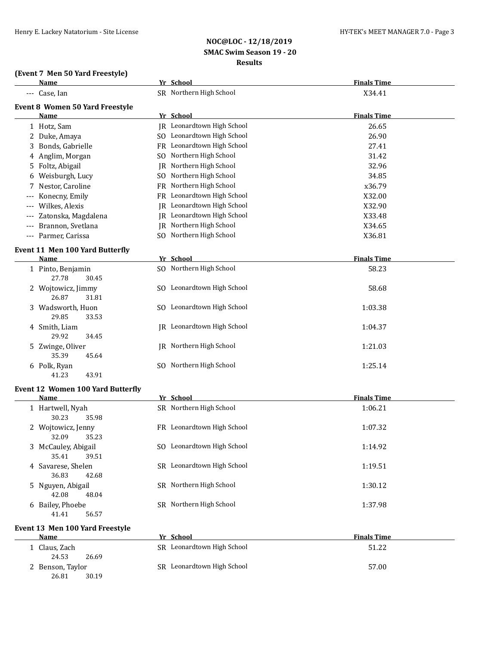#### **(Event 7 Men 50 Yard Freestyle)**

| Name                                   | Yr School                         | <b>Finals Time</b> |
|----------------------------------------|-----------------------------------|--------------------|
| --- Case, Ian                          | SR Northern High School           | X34.41             |
| <b>Event 8 Women 50 Yard Freestyle</b> |                                   |                    |
| Name                                   | Yr School                         | <b>Finals Time</b> |
| 1 Hotz, Sam                            | <b>IR</b> Leonardtown High School | 26.65              |
| 2 Duke, Amaya                          | SO Leonardtown High School        | 26.90              |
| 3 Bonds, Gabrielle                     | FR Leonardtown High School        | 27.41              |
| 4 Anglim, Morgan                       | SO Northern High School           | 31.42              |
| 5 Foltz, Abigail                       | JR Northern High School           | 32.96              |
| 6 Weisburgh, Lucy                      | SO Northern High School           | 34.85              |
| 7 Nestor, Caroline                     | FR Northern High School           | x36.79             |
| Konecny, Emily                         | FR Leonardtown High School        | X32.00             |
| Wilkes, Alexis                         | JR Leonardtown High School        | X32.90             |
| Zatonska, Magdalena                    | JR Leonardtown High School        | X33.48             |
| Brannon, Svetlana                      | <b>IR</b> Northern High School    | X34.65             |
| --- Parmer, Carissa                    | SO Northern High School           | X36.81             |
| <b>Event 11 Men 100 Yard Butterfly</b> |                                   |                    |
| Name                                   | Yr School                         | <b>Finals Time</b> |
| 1 Pinto, Benjamin<br>27.78<br>30.45    | SO Northern High School           | 58.23              |
| 2 Wojtowicz, Jimmy<br>26.87<br>31.81   | SO Leonardtown High School        | 58.68              |
| 3 Wadsworth, Huon<br>29.85<br>33.53    | SO Leonardtown High School        | 1:03.38            |
| 4 Smith, Liam<br>29.92<br>34.45        | <b>IR</b> Leonardtown High School | 1:04.37            |
| 5 Zwinge, Oliver<br>35.39<br>45.64     | JR Northern High School           | 1:21.03            |
| 6 Polk, Ryan<br>41.23<br>43.91         | SO Northern High School           | 1:25.14            |
| Event 12 Women 100 Yard Butterfly      |                                   |                    |
| Name                                   | Yr School                         | <b>Finals Time</b> |
| 1 Hartwell, Nyah<br>30.23<br>35.98     | SR Northern High School           | 1:06.21            |
| 2 Wojtowicz, Jenny<br>32.09<br>35.23   | FR Leonardtown High School        | 1:07.32            |
| 3 McCauley, Abigail<br>35.41<br>39.51  | SO Leonardtown High School        | 1:14.92            |
| 4 Savarese, Shelen<br>36.83<br>42.68   | SR Leonardtown High School        | 1:19.51            |
| 5 Nguyen, Abigail<br>42.08<br>48.04    | SR Northern High School           | 1:30.12            |
| 6 Bailey, Phoebe<br>41.41<br>56.57     | SR Northern High School           | 1:37.98            |
| Event 13 Men 100 Yard Freestyle        |                                   |                    |
| Name                                   | Yr School                         | <b>Finals Time</b> |
| 1 Claus, Zach<br>24.53<br>26.69        | SR Leonardtown High School        | 51.22              |
| 2 Benson, Taylor<br>26.81<br>30.19     | SR Leonardtown High School        | 57.00              |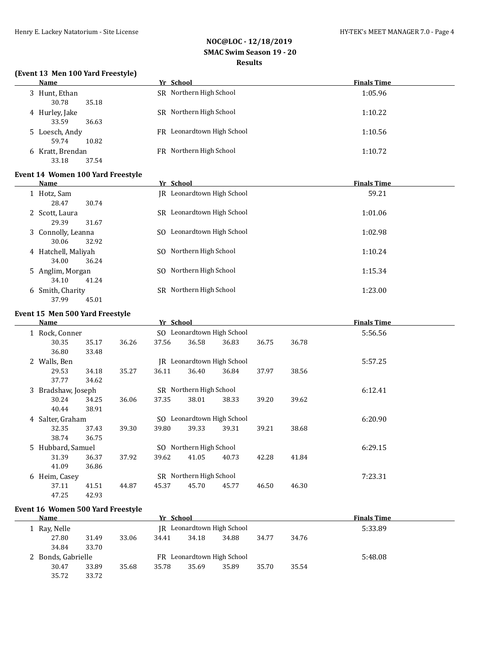#### **(Event 13 Men 100 Yard Freestyle)**

| Name                               | $\overline{\phantom{a}}$<br>Yr School | <b>Finals Time</b> |
|------------------------------------|---------------------------------------|--------------------|
| 3 Hunt, Ethan<br>30.78<br>35.18    | SR Northern High School               | 1:05.96            |
| 4 Hurley, Jake<br>33.59<br>36.63   | SR Northern High School               | 1:10.22            |
| 5 Loesch, Andy<br>59.74<br>10.82   | FR Leonardtown High School            | 1:10.56            |
| 6 Kratt, Brendan<br>37.54<br>33.18 | FR Northern High School               | 1:10.72            |

## **Event 14 Women 100 Yard Freestyle**

| Name                                  | Yr School                      | <b>Finals Time</b> |
|---------------------------------------|--------------------------------|--------------------|
| 1 Hotz, Sam<br>28.47<br>30.74         | JR Leonardtown High School     | 59.21              |
| 2 Scott, Laura<br>29.39<br>31.67      | SR Leonardtown High School     | 1:01.06            |
| 3 Connolly, Leanna<br>32.92<br>30.06  | Leonardtown High School<br>SO. | 1:02.98            |
| 4 Hatchell, Maliyah<br>34.00<br>36.24 | Northern High School<br>SO.    | 1:10.24            |
| 5 Anglim, Morgan<br>34.10<br>41.24    | Northern High School<br>SO.    | 1:15.34            |
| 6 Smith, Charity<br>37.99<br>45.01    | Northern High School<br>SR.    | 1:23.00            |

#### **Event 15 Men 500 Yard Freestyle**

| Name               |       |       | Yr School |                         |                            |       |       | <b>Finals Time</b> |  |
|--------------------|-------|-------|-----------|-------------------------|----------------------------|-------|-------|--------------------|--|
| 1 Rock, Conner     |       |       |           |                         | SO Leonardtown High School |       |       | 5:56.56            |  |
| 30.35              | 35.17 | 36.26 | 37.56     | 36.58                   | 36.83                      | 36.75 | 36.78 |                    |  |
| 36.80              | 33.48 |       |           |                         |                            |       |       |                    |  |
| 2 Walls, Ben       |       |       |           |                         | JR Leonardtown High School |       |       | 5:57.25            |  |
| 29.53              | 34.18 | 35.27 | 36.11     | 36.40                   | 36.84                      | 37.97 | 38.56 |                    |  |
| 37.77              | 34.62 |       |           |                         |                            |       |       |                    |  |
| 3 Bradshaw, Joseph |       |       |           | SR Northern High School |                            |       |       | 6:12.41            |  |
| 30.24              | 34.25 | 36.06 | 37.35     | 38.01                   | 38.33                      | 39.20 | 39.62 |                    |  |
| 40.44              | 38.91 |       |           |                         |                            |       |       |                    |  |
| 4 Salter, Graham   |       |       |           |                         | SO Leonardtown High School |       |       | 6:20.90            |  |
| 32.35              | 37.43 | 39.30 | 39.80     | 39.33                   | 39.31                      | 39.21 | 38.68 |                    |  |
| 38.74              | 36.75 |       |           |                         |                            |       |       |                    |  |
| 5 Hubbard, Samuel  |       |       |           | SO Northern High School |                            |       |       | 6:29.15            |  |
| 31.39              | 36.37 | 37.92 | 39.62     | 41.05                   | 40.73                      | 42.28 | 41.84 |                    |  |
| 41.09              | 36.86 |       |           |                         |                            |       |       |                    |  |
| 6 Heim, Casey      |       |       |           | SR Northern High School |                            |       |       | 7:23.31            |  |
| 37.11              | 41.51 | 44.87 | 45.37     | 45.70                   | 45.77                      | 46.50 | 46.30 |                    |  |
| 47.25              | 42.93 |       |           |                         |                            |       |       |                    |  |

### **Event 16 Women 500 Yard Freestyle**

| Name               |       |       | Yr School |       |                            |       |       | <b>Finals Time</b> |  |
|--------------------|-------|-------|-----------|-------|----------------------------|-------|-------|--------------------|--|
| 1 Ray, Nelle       |       |       |           |       | IR Leonardtown High School |       |       | 5:33.89            |  |
| 27.80              | 31.49 | 33.06 | 34.41     | 34.18 | 34.88                      | 34.77 | 34.76 |                    |  |
| 34.84              | 33.70 |       |           |       |                            |       |       |                    |  |
| 2 Bonds, Gabrielle |       |       |           |       | FR Leonardtown High School |       |       | 5:48.08            |  |
| 30.47              | 33.89 | 35.68 | 35.78     | 35.69 | 35.89                      | 35.70 | 35.54 |                    |  |
| 35.72              | 33.72 |       |           |       |                            |       |       |                    |  |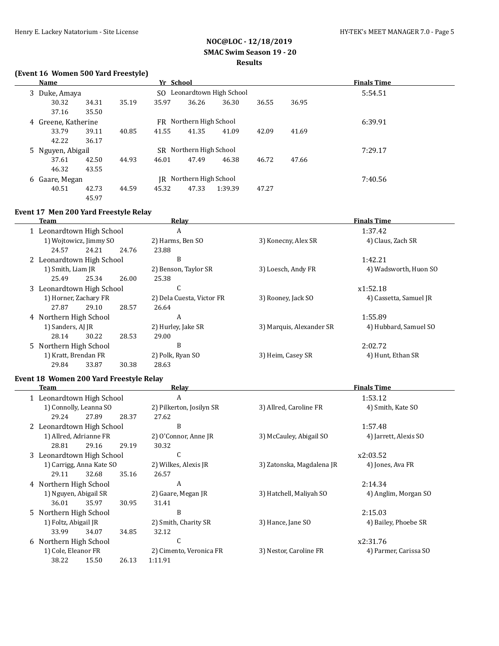## **(Event 16 Women 500 Yard Freestyle)**

| <b>Name</b>         |       |       | Yr School |                         |                            |       |       | <b>Finals Time</b> |  |
|---------------------|-------|-------|-----------|-------------------------|----------------------------|-------|-------|--------------------|--|
| 3 Duke, Amaya       |       |       |           |                         | SO Leonardtown High School |       |       | 5:54.51            |  |
| 30.32               | 34.31 | 35.19 | 35.97     | 36.26                   | 36.30                      | 36.55 | 36.95 |                    |  |
| 37.16               | 35.50 |       |           |                         |                            |       |       |                    |  |
| 4 Greene, Katherine |       |       |           | FR Northern High School |                            |       |       | 6:39.91            |  |
| 33.79               | 39.11 | 40.85 | 41.55     | 41.35                   | 41.09                      | 42.09 | 41.69 |                    |  |
| 42.22               | 36.17 |       |           |                         |                            |       |       |                    |  |
| 5 Nguyen, Abigail   |       |       |           | SR Northern High School |                            |       |       | 7:29.17            |  |
| 37.61               | 42.50 | 44.93 | 46.01     | 47.49                   | 46.38                      | 46.72 | 47.66 |                    |  |
| 46.32               | 43.55 |       |           |                         |                            |       |       |                    |  |
| 6 Gaare, Megan      |       |       |           | JR Northern High School |                            |       |       | 7:40.56            |  |
| 40.51               | 42.73 | 44.59 | 45.32     | 47.33                   | 1:39.39                    | 47.27 |       |                    |  |
|                     | 45.97 |       |           |                         |                            |       |       |                    |  |

# **Event 17 Men 200 Yard Freestyle Relay**

| Team                      |                        |       | Relay                     | <b>Finals Time</b>       |                        |  |
|---------------------------|------------------------|-------|---------------------------|--------------------------|------------------------|--|
| 1 Leonardtown High School |                        |       | A                         |                          | 1:37.42                |  |
|                           | 1) Wojtowicz, Jimmy SO |       | 2) Harms, Ben SO          | 3) Konecny, Alex SR      | 4) Claus, Zach SR      |  |
| 24.57                     | 24.21                  | 24.76 | 23.88                     |                          |                        |  |
| 2 Leonardtown High School |                        |       | B                         |                          | 1:42.21                |  |
| 1) Smith, Liam JR         |                        |       | 2) Benson, Taylor SR      | 3) Loesch, Andy FR       | 4) Wadsworth, Huon SO  |  |
| 25.49                     | 25.34                  | 26.00 | 25.38                     |                          |                        |  |
| 3 Leonardtown High School |                        |       | U                         |                          | x1:52.18               |  |
|                           | 1) Horner, Zachary FR  |       | 2) Dela Cuesta, Victor FR | 3) Rooney, Jack SO       | 4) Cassetta, Samuel JR |  |
| 27.87                     | 29.10                  | 28.57 | 26.64                     |                          |                        |  |
| 4 Northern High School    |                        |       | A                         |                          | 1:55.89                |  |
| 1) Sanders, AJ JR         |                        |       | 2) Hurley, Jake SR        | 3) Marquis, Alexander SR | 4) Hubbard, Samuel SO  |  |
| 28.14                     | 30.22                  | 28.53 | 29.00                     |                          |                        |  |
| 5 Northern High School    |                        |       | B                         |                          | 2:02.72                |  |
| 1) Kratt, Brendan FR      |                        |       | 2) Polk, Ryan SO          | 3) Heim, Casey SR        | 4) Hunt, Ethan SR      |  |
| 29.84                     | 33.87                  | 30.38 | 28.63                     |                          |                        |  |

## **Event 18 Women 200 Yard Freestyle Relay**

| Team |                           |                           |       | Relay                    | <b>Finals Time</b><br>1:53.12 |                       |  |
|------|---------------------------|---------------------------|-------|--------------------------|-------------------------------|-----------------------|--|
|      | 1 Leonardtown High School |                           |       | A                        |                               |                       |  |
|      |                           | 1) Connolly, Leanna SO    |       | 2) Pilkerton, Josilyn SR | 3) Allred, Caroline FR        | 4) Smith, Kate SO     |  |
|      | 29.24                     | 27.89                     | 28.37 | 27.62                    |                               |                       |  |
|      | 2 Leonardtown High School |                           |       | B                        |                               | 1:57.48               |  |
|      |                           | 1) Allred, Adrianne FR    |       | 2) O'Connor, Anne JR     | 3) McCauley, Abigail SO       | 4) Jarrett, Alexis SO |  |
|      | 28.81                     | 29.16                     | 29.19 | 30.32                    |                               |                       |  |
|      |                           | 3 Leonardtown High School |       | $\sqrt{ }$<br>U          |                               | x2:03.52              |  |
|      |                           | 1) Carrigg, Anna Kate SO  |       | 2) Wilkes, Alexis JR     | 3) Zatonska, Magdalena JR     | 4) Jones, Ava FR      |  |
|      | 29.11                     | 32.68                     | 35.16 | 26.57                    |                               |                       |  |
|      | 4 Northern High School    |                           |       | A                        |                               | 2:14.34               |  |
|      | 1) Nguyen, Abigail SR     |                           |       | 2) Gaare, Megan JR       | 3) Hatchell, Maliyah SO       | 4) Anglim, Morgan SO  |  |
|      | 36.01                     | 35.97                     | 30.95 | 31.41                    |                               |                       |  |
|      | 5 Northern High School    |                           |       | B                        |                               | 2:15.03               |  |
|      | 1) Foltz, Abigail JR      |                           |       | 2) Smith, Charity SR     | 3) Hance, Jane SO             | 4) Bailey, Phoebe SR  |  |
|      | 33.99                     | 34.07                     | 34.85 | 32.12                    |                               |                       |  |
|      | 6 Northern High School    |                           |       | $\sqrt{ }$<br>U          |                               | x2:31.76              |  |
|      | 1) Cole, Eleanor FR       |                           |       | 2) Cimento, Veronica FR  | 3) Nestor, Caroline FR        | 4) Parmer, Carissa SO |  |
|      | 38.22                     | 15.50                     | 26.13 | 1:11.91                  |                               |                       |  |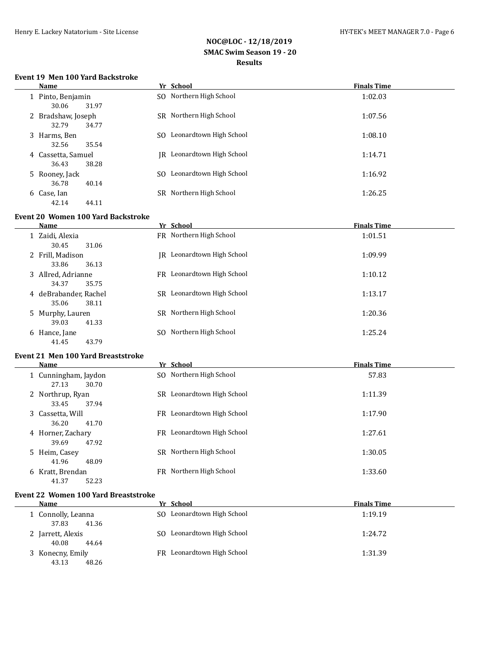## **Event 19 Men 100 Yard Backstroke**

| Name                                 | Yr School                      | <b>Finals Time</b> |
|--------------------------------------|--------------------------------|--------------------|
| 1 Pinto, Benjamin<br>30.06<br>31.97  | SO Northern High School        | 1:02.03            |
| 2 Bradshaw, Joseph<br>32.79<br>34.77 | SR Northern High School        | 1:07.56            |
| 3 Harms, Ben<br>32.56<br>35.54       | Leonardtown High School<br>SO. | 1:08.10            |
| 4 Cassetta, Samuel<br>38.28<br>36.43 | IR Leonardtown High School     | 1:14.71            |
| 5 Rooney, Jack<br>36.78<br>40.14     | Leonardtown High School<br>SO. | 1:16.92            |
| 6 Case, Ian<br>42.14<br>44.11        | SR Northern High School        | 1:26.25            |

### **Event 20 Women 100 Yard Backstroke**

 $\overline{a}$ 

|   | Name                | Yr School                     | <b>Finals Time</b> |
|---|---------------------|-------------------------------|--------------------|
|   | Zaidi, Alexia       | FR Northern High School       | 1:01.51            |
|   | 30.45<br>31.06      |                               |                    |
|   | 2 Frill, Madison    | Leonardtown High School<br>IR | 1:09.99            |
|   | 33.86<br>36.13      |                               |                    |
|   | 3 Allred, Adrianne  | FR Leonardtown High School    | 1:10.12            |
|   | 35.75<br>34.37      |                               |                    |
| 4 | deBrabander, Rachel | SR Leonardtown High School    | 1:13.17            |
|   | 35.06<br>38.11      |                               |                    |
|   | 5 Murphy, Lauren    | SR Northern High School       | 1:20.36            |
|   | 41.33<br>39.03      |                               |                    |
| 6 | Hance, Jane         | Northern High School<br>SO.   | 1:25.24            |
|   | 41.45<br>43.79      |                               |                    |
|   |                     |                               |                    |

### **Event 21 Men 100 Yard Breaststroke**

| Name                                   | Yr School                      | <b>Finals Time</b> |
|----------------------------------------|--------------------------------|--------------------|
| 1 Cunningham, Jaydon<br>30.70<br>27.13 | SO Northern High School        | 57.83              |
| 2 Northrup, Ryan<br>37.94<br>33.45     | Leonardtown High School<br>SR. | 1:11.39            |
| 3 Cassetta, Will<br>36.20<br>41.70     | FR Leonardtown High School     | 1:17.90            |
| 4 Horner, Zachary<br>47.92<br>39.69    | FR Leonardtown High School     | 1:27.61            |
| 5 Heim, Casey<br>48.09<br>41.96        | SR Northern High School        | 1:30.05            |
| 6 Kratt, Brendan<br>52.23<br>41.37     | Northern High School<br>FR     | 1:33.60            |

#### **Event 22 Women 100 Yard Breaststroke**

| Name               | Yr School                  | <b>Finals Time</b> |
|--------------------|----------------------------|--------------------|
| 1 Connolly, Leanna | SO Leonardtown High School | 1:19.19            |
| 41.36<br>37.83     |                            |                    |
| 2 Jarrett, Alexis  | SO Leonardtown High School | 1:24.72            |
| 40.08<br>44.64     |                            |                    |
| 3 Konecny, Emily   | FR Leonardtown High School | 1:31.39            |
| 43.13<br>48.26     |                            |                    |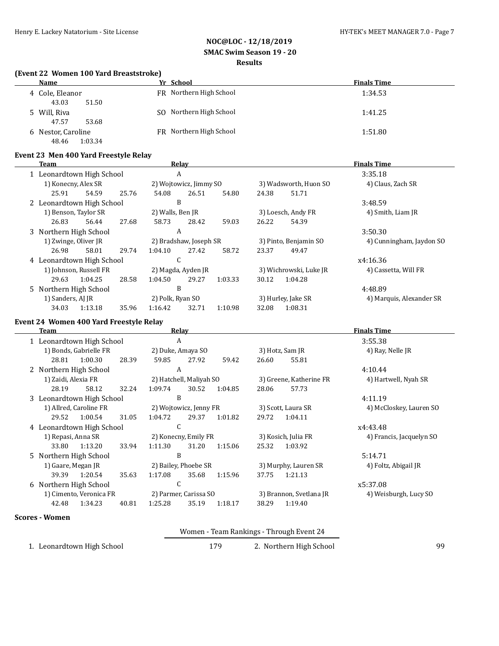#### **(Event 22 Women 100 Yard Breaststroke)**

| Name               | Yr School               | <b>Finals Time</b> |
|--------------------|-------------------------|--------------------|
| 4 Cole, Eleanor    | FR Northern High School | 1:34.53            |
| 43.03<br>51.50     |                         |                    |
| 5 Will, Riva       | SO Northern High School | 1:41.25            |
| 47.57<br>53.68     |                         |                    |
| 6 Nestor, Caroline | FR Northern High School | 1:51.80            |
| 1:03.34<br>48.46   |                         |                    |

#### **Event 23 Men 400 Yard Freestyle Relay**

| Team |                           |                           | Relay |                        |       |                       | <b>Finals Time</b>     |                          |                          |
|------|---------------------------|---------------------------|-------|------------------------|-------|-----------------------|------------------------|--------------------------|--------------------------|
|      |                           | 1 Leonardtown High School |       |                        | A     |                       |                        |                          | 3:35.18                  |
|      | 1) Konecny, Alex SR       |                           |       | 2) Wojtowicz, Jimmy SO |       |                       | 3) Wadsworth, Huon SO  |                          | 4) Claus, Zach SR        |
|      | 25.91                     | 54.59                     | 25.76 | 54.08                  | 26.51 | 54.80                 | 24.38                  | 51.71                    |                          |
|      | 2 Leonardtown High School |                           |       | B                      |       |                       |                        |                          | 3:48.59                  |
|      |                           | 1) Benson, Taylor SR      |       | 2) Walls, Ben JR       |       |                       | 3) Loesch, Andy FR     |                          | 4) Smith, Liam JR        |
|      | 26.83                     | 56.44                     | 27.68 | 58.73                  | 28.42 | 59.03                 | 26.22                  | 54.39                    |                          |
|      | 3 Northern High School    |                           |       |                        | A     |                       |                        |                          | 3:50.30                  |
|      |                           | 1) Zwinge, Oliver JR      |       | 2) Bradshaw, Joseph SR |       | 3) Pinto, Benjamin SO |                        | 4) Cunningham, Jaydon SO |                          |
|      | 26.98                     | 58.01                     | 29.74 | 1:04.10                | 27.42 | 58.72                 | 23.37                  | 49.47                    |                          |
|      | 4 Leonardtown High School |                           |       | C                      |       |                       |                        |                          | x4:16.36                 |
|      | 1) Johnson, Russell FR    |                           |       | 2) Magda, Ayden JR     |       |                       | 3) Wichrowski, Luke JR |                          | 4) Cassetta, Will FR     |
|      | 29.63                     | 1:04.25                   | 28.58 | 1:04.50                | 29.27 | 1:03.33               | 30.12                  | 1:04.28                  |                          |
|      | 5 Northern High School    |                           |       | B                      |       |                       |                        |                          | 4:48.89                  |
|      | 1) Sanders, AJ JR         |                           |       | 2) Polk, Ryan SO       |       |                       |                        | 3) Hurley, Jake SR       | 4) Marquis, Alexander SR |
|      | 34.03                     | 1:13.18                   | 35.96 | 1:16.42                | 32.71 | 1:10.98               | 32.08                  | 1:08.31                  |                          |
|      |                           |                           |       |                        |       |                       |                        |                          |                          |

## **Event 24 Women 400 Yard Freestyle Relay**

| Team                      |                         |                           | Relay |                       |                         |                     | <b>Finals Time</b>      |                          |                         |
|---------------------------|-------------------------|---------------------------|-------|-----------------------|-------------------------|---------------------|-------------------------|--------------------------|-------------------------|
| 1 Leonardtown High School |                         |                           |       | A                     |                         |                     |                         |                          | 3:55.38                 |
|                           |                         | 1) Bonds, Gabrielle FR    |       | 2) Duke, Amaya SO     |                         |                     | 3) Hotz, Sam JR         |                          | 4) Ray, Nelle JR        |
|                           | 28.81                   | 1:00.30                   | 28.39 | 59.85                 | 27.92                   | 59.42               | 26.60                   | 55.81                    |                         |
|                           | 2 Northern High School  |                           |       | A                     |                         |                     |                         |                          | 4:10.44                 |
|                           | 1) Zaidi, Alexia FR     |                           |       |                       | 2) Hatchell, Maliyah SO |                     |                         | 3) Greene, Katherine FR  | 4) Hartwell, Nyah SR    |
|                           | 28.19                   | 58.12                     | 32.24 | 1:09.74               | 30.52                   | 1:04.85             | 28.06                   | 57.73                    |                         |
|                           |                         | 3 Leonardtown High School |       | B                     |                         |                     |                         |                          | 4:11.19                 |
|                           |                         | 1) Allred, Caroline FR    |       |                       | 2) Wojtowicz, Jenny FR  |                     |                         | 3) Scott, Laura SR       | 4) McCloskey, Lauren SO |
|                           | 29.52                   | 1:00.54                   | 31.05 | 1:04.72               | 29.37                   | 1:01.82             | 29.72                   | 1:04.11                  |                         |
|                           |                         | 4 Leonardtown High School |       | C                     |                         |                     |                         |                          | x4:43.48                |
|                           | 1) Repasi, Anna SR      |                           |       | 2) Konecny, Emily FR  |                         | 3) Kosich, Julia FR |                         | 4) Francis, Jacquelyn SO |                         |
|                           | 33.80                   | 1:13.20                   | 33.94 | 1:11.30               | 31.20                   | 1:15.06             | 25.32                   | 1:03.92                  |                         |
|                           | 5 Northern High School  |                           |       | B                     |                         |                     |                         |                          | 5:14.71                 |
|                           | 1) Gaare, Megan JR      |                           |       | 2) Bailey, Phoebe SR  |                         |                     | 3) Murphy, Lauren SR    |                          | 4) Foltz, Abigail JR    |
|                           | 39.39                   | 1:20.54                   | 35.63 | 1:17.08               | 35.68                   | 1:15.96             | 37.75                   | 1:21.13                  |                         |
|                           | 6 Northern High School  |                           |       | C                     |                         |                     |                         |                          | x5:37.08                |
|                           | 1) Cimento, Veronica FR |                           |       | 2) Parmer, Carissa SO |                         |                     | 3) Brannon, Svetlana JR |                          | 4) Weisburgh, Lucy SO   |
|                           | 42.48                   | 1:34.23                   | 40.81 | 1:25.28               | 35.19                   | 1:18.17             | 38.29                   | 1:19.40                  |                         |
|                           | <b>Scores - Women</b>   |                           |       |                       |                         |                     |                         |                          |                         |

#### Women - Team Rankings - Through Event 24

1. Leonardtown High School 179 2. Northern High School 99